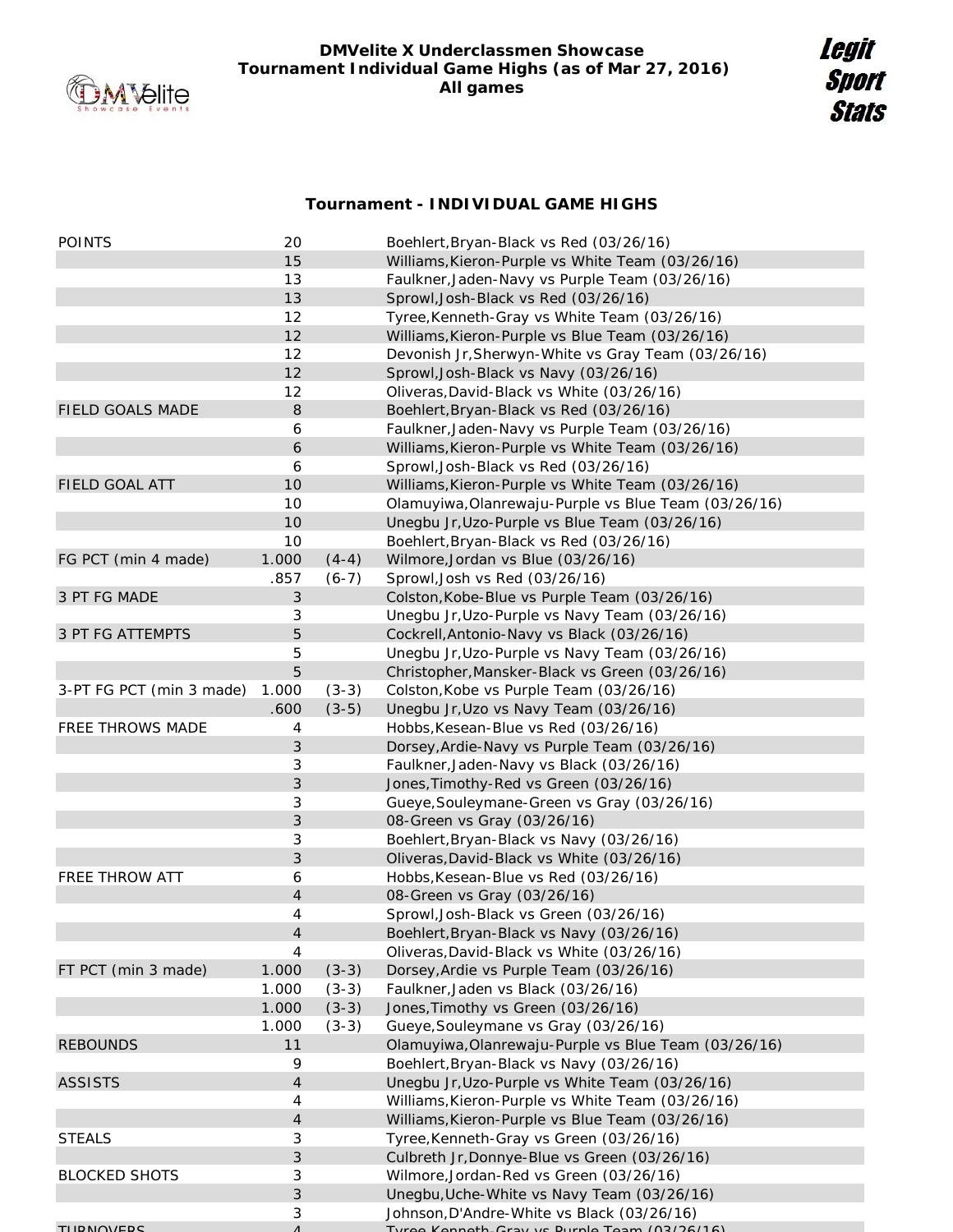

## **DMVelite X Underclassmen Showcase Tournament Individual Game Highs (as of Mar 27, 2016) All games**

## **Tournament - INDIVIDUAL GAME HIGHS**

| <b>POINTS</b>            | 20        |         | Boehlert, Bryan-Black vs Red (03/26/16)              |
|--------------------------|-----------|---------|------------------------------------------------------|
|                          | 15        |         | Williams, Kieron-Purple vs White Team (03/26/16)     |
|                          | 13        |         | Faulkner, Jaden-Navy vs Purple Team (03/26/16)       |
|                          | 13        |         | Sprowl, Josh-Black vs Red (03/26/16)                 |
|                          | 12        |         | Tyree, Kenneth-Gray vs White Team (03/26/16)         |
|                          | 12        |         | Williams, Kieron-Purple vs Blue Team (03/26/16)      |
|                          | 12        |         | Devonish Jr, Sherwyn-White vs Gray Team (03/26/16)   |
|                          | 12        |         | Sprowl, Josh-Black vs Navy (03/26/16)                |
|                          | 12        |         | Oliveras, David-Black vs White (03/26/16)            |
| FIELD GOALS MADE         | 8         |         | Boehlert, Bryan-Black vs Red (03/26/16)              |
|                          | 6         |         | Faulkner, Jaden-Navy vs Purple Team (03/26/16)       |
|                          | 6         |         | Williams, Kieron-Purple vs White Team (03/26/16)     |
|                          | 6         |         | Sprowl, Josh-Black vs Red (03/26/16)                 |
| FIELD GOAL ATT           | 10        |         | Williams, Kieron-Purple vs White Team (03/26/16)     |
|                          | 10        |         | Olamuyiwa, Olanrewaju-Purple vs Blue Team (03/26/16) |
|                          | 10        |         | Unegbu Jr, Uzo-Purple vs Blue Team (03/26/16)        |
|                          | 10        |         | Boehlert, Bryan-Black vs Red (03/26/16)              |
| FG PCT (min 4 made)      | 1.000     | $(4-4)$ | Wilmore, Jordan vs Blue (03/26/16)                   |
|                          | .857      | $(6-7)$ | Sprowl, Josh vs Red (03/26/16)                       |
| 3 PT FG MADE             | 3         |         | Colston, Kobe-Blue vs Purple Team (03/26/16)         |
|                          | 3         |         | Unegbu Jr, Uzo-Purple vs Navy Team (03/26/16)        |
| 3 PT FG ATTEMPTS         | 5         |         | Cockrell, Antonio-Navy vs Black (03/26/16)           |
|                          | 5         |         | Unegbu Jr, Uzo-Purple vs Navy Team (03/26/16)        |
|                          | 5         |         | Christopher, Mansker-Black vs Green (03/26/16)       |
| 3-PT FG PCT (min 3 made) | 1.000     | $(3-3)$ | Colston, Kobe vs Purple Team (03/26/16)              |
|                          | .600      | $(3-5)$ | Unegbu Jr, Uzo vs Navy Team (03/26/16)               |
| FREE THROWS MADE         | 4         |         | Hobbs, Kesean-Blue vs Red (03/26/16)                 |
|                          | 3         |         | Dorsey, Ardie-Navy vs Purple Team (03/26/16)         |
|                          | 3         |         | Faulkner, Jaden-Navy vs Black (03/26/16)             |
|                          | 3         |         | Jones, Timothy-Red vs Green (03/26/16)               |
|                          | 3         |         | Gueye, Souleymane-Green vs Gray (03/26/16)           |
|                          | 3         |         | 08-Green vs Gray (03/26/16)                          |
|                          | 3         |         | Boehlert, Bryan-Black vs Navy (03/26/16)             |
|                          | 3         |         | Oliveras, David-Black vs White (03/26/16)            |
| FREE THROW ATT           | 6         |         | Hobbs, Kesean-Blue vs Red (03/26/16)                 |
|                          | 4         |         | 08-Green vs Gray (03/26/16)                          |
|                          | 4         |         | Sprowl, Josh-Black vs Green (03/26/16)               |
|                          | 4         |         | Boehlert, Bryan-Black vs Navy (03/26/16)             |
|                          | 4         |         | Oliveras, David-Black vs White (03/26/16)            |
| FT PCT (min 3 made)      | 1.000     | $(3-3)$ | Dorsey, Ardie vs Purple Team (03/26/16)              |
|                          | 1.000     | $(3-3)$ | Faulkner, Jaden vs Black (03/26/16)                  |
|                          | 1.000     | $(3-3)$ | Jones, Timothy vs Green (03/26/16)                   |
|                          | 1.000     | $(3-3)$ | Gueye, Souleymane vs Gray (03/26/16)                 |
| <b>REBOUNDS</b>          | 11        |         | Olamuyiwa, Olanrewaju-Purple vs Blue Team (03/26/16) |
|                          | 9         |         | Boehlert, Bryan-Black vs Navy (03/26/16)             |
| <b>ASSISTS</b>           | 4         |         | Unegbu Jr, Uzo-Purple vs White Team (03/26/16)       |
|                          | 4         |         | Williams, Kieron-Purple vs White Team (03/26/16)     |
|                          | 4         |         | Williams, Kieron-Purple vs Blue Team (03/26/16)      |
| <b>STEALS</b>            | 3         |         | Tyree, Kenneth-Gray vs Green (03/26/16)              |
|                          | 3         |         | Culbreth Jr, Donnye-Blue vs Green (03/26/16)         |
| <b>BLOCKED SHOTS</b>     | 3         |         | Wilmore, Jordan-Red vs Green (03/26/16)              |
|                          | 3         |         | Unegbu, Uche-White vs Navy Team (03/26/16)           |
|                          | 3         |         | Johnson, D'Andre-White vs Black (03/26/16)           |
| <b>TUDMOVEDS</b>         | $\Lambda$ |         | Turgo Kannath Cray ve Durnla Taam (02/26/16)         |